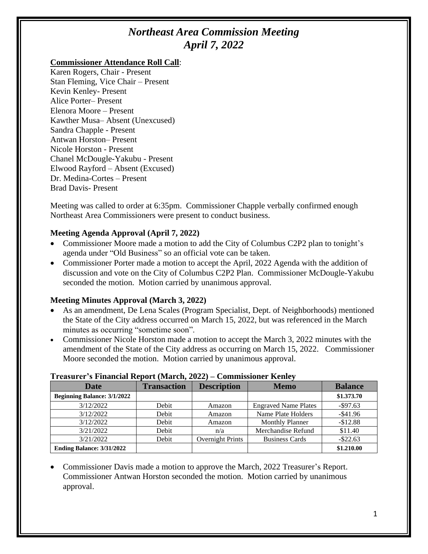# *Northeast Area Commission Meeting April 7, 2022*

#### **Commissioner Attendance Roll Call**:

Karen Rogers, Chair - Present Stan Fleming, Vice Chair – Present Kevin Kenley- Present Alice Porter– Present Elenora Moore – Present Kawther Musa– Absent (Unexcused) Sandra Chapple - Present Antwan Horston– Present Nicole Horston - Present Chanel McDougle-Yakubu - Present Elwood Rayford – Absent (Excused) Dr. Medina-Cortes – Present Brad Davis- Present

Meeting was called to order at 6:35pm. Commissioner Chapple verbally confirmed enough Northeast Area Commissioners were present to conduct business.

## **Meeting Agenda Approval (April 7, 2022)**

- Commissioner Moore made a motion to add the City of Columbus C2P2 plan to tonight's agenda under "Old Business" so an official vote can be taken.
- Commissioner Porter made a motion to accept the April, 2022 Agenda with the addition of discussion and vote on the City of Columbus C2P2 Plan. Commissioner McDougle-Yakubu seconded the motion. Motion carried by unanimous approval.

# **Meeting Minutes Approval (March 3, 2022)**

- As an amendment, De Lena Scales (Program Specialist, Dept. of Neighborhoods) mentioned the State of the City address occurred on March 15, 2022, but was referenced in the March minutes as occurring "sometime soon".
- Commissioner Nicole Horston made a motion to accept the March 3, 2022 minutes with the amendment of the State of the City address as occurring on March 15, 2022. Commissioner Moore seconded the motion. Motion carried by unanimous approval.

| Treasurer s'imaneiai ineport (iviaren, 2022) – Commissioner inemey |                    |                    |                             |                |
|--------------------------------------------------------------------|--------------------|--------------------|-----------------------------|----------------|
| Date                                                               | <b>Transaction</b> | <b>Description</b> | <b>Memo</b>                 | <b>Balance</b> |
| <b>Beginning Balance: 3/1/2022</b>                                 |                    |                    |                             | \$1.373.70     |
| 3/12/2022                                                          | Debit              | Amazon             | <b>Engraved Name Plates</b> | $-$ \$97.63    |
| 3/12/2022                                                          | Debit              | Amazon             | Name Plate Holders          | $-$ \$41.96    |
| 3/12/2022                                                          | Debit              | Amazon             | <b>Monthly Planner</b>      | $-$12.88$      |
| 3/21/2022                                                          | Debit              | n/a                | Merchandise Refund          | \$11.40        |
| 3/21/2022                                                          | Debit              | Overnight Prints   | <b>Business Cards</b>       | $-$ \$22.63    |
| Ending Balance: 3/31/2022                                          |                    |                    |                             | \$1.210.00     |

#### **Treasurer's Financial Report (March, 2022) – Commissioner Kenley**

• Commissioner Davis made a motion to approve the March, 2022 Treasurer's Report. Commissioner Antwan Horston seconded the motion. Motion carried by unanimous approval.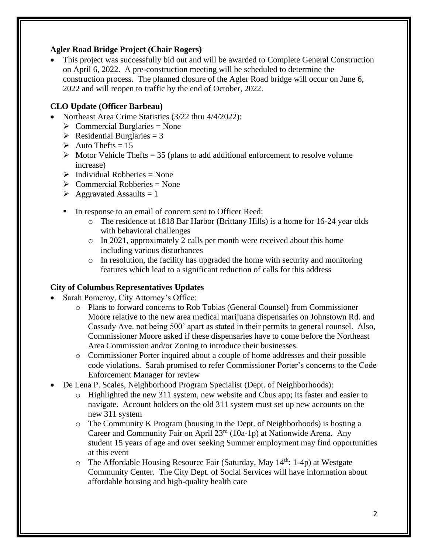#### **Agler Road Bridge Project (Chair Rogers)**

• This project was successfully bid out and will be awarded to Complete General Construction on April 6, 2022. A pre-construction meeting will be scheduled to determine the construction process. The planned closure of the Agler Road bridge will occur on June 6, 2022 and will reopen to traffic by the end of October, 2022.

# **CLO Update (Officer Barbeau)**

- Northeast Area Crime Statistics (3/22 thru 4/4/2022):
	- $\triangleright$  Commercial Burglaries = None
	- $\triangleright$  Residential Burglaries = 3
	- $\triangleright$  Auto Thefts = 15
	- $\triangleright$  Motor Vehicle Thefts = 35 (plans to add additional enforcement to resolve volume increase)
	- $\triangleright$  Individual Robberies = None
	- $\triangleright$  Commercial Robberies = None
	- $\triangleright$  Aggravated Assaults = 1
	- In response to an email of concern sent to Officer Reed:
		- o The residence at 1818 Bar Harbor (Brittany Hills) is a home for 16-24 year olds with behavioral challenges
		- o In 2021, approximately 2 calls per month were received about this home including various disturbances
		- $\circ$  In resolution, the facility has upgraded the home with security and monitoring features which lead to a significant reduction of calls for this address

# **City of Columbus Representatives Updates**

- Sarah Pomeroy, City Attorney's Office:
	- o Plans to forward concerns to Rob Tobias (General Counsel) from Commissioner Moore relative to the new area medical marijuana dispensaries on Johnstown Rd. and Cassady Ave. not being 500' apart as stated in their permits to general counsel. Also, Commissioner Moore asked if these dispensaries have to come before the Northeast Area Commission and/or Zoning to introduce their businesses.
	- o Commissioner Porter inquired about a couple of home addresses and their possible code violations. Sarah promised to refer Commissioner Porter's concerns to the Code Enforcement Manager for review
- De Lena P. Scales, Neighborhood Program Specialist (Dept. of Neighborhoods):
	- o Highlighted the new 311 system, new website and Cbus app; its faster and easier to navigate. Account holders on the old 311 system must set up new accounts on the new 311 system
	- o The Community K Program (housing in the Dept. of Neighborhoods) is hosting a Career and Community Fair on April 23<sup>rd</sup> (10a-1p) at Nationwide Arena. Any student 15 years of age and over seeking Summer employment may find opportunities at this event
	- $\circ$  The Affordable Housing Resource Fair (Saturday, May 14<sup>th</sup>: 1-4p) at Westgate Community Center. The City Dept. of Social Services will have information about affordable housing and high-quality health care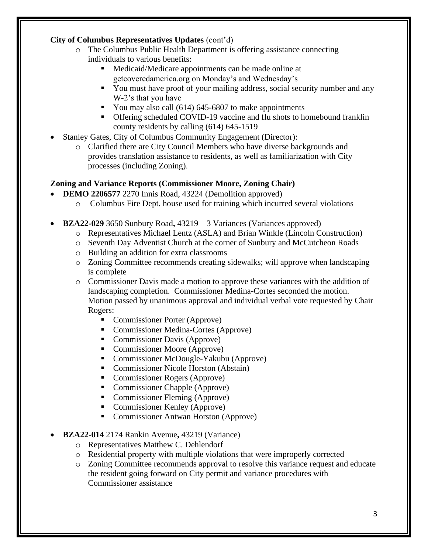#### **City of Columbus Representatives Updates** (cont'd)

- o The Columbus Public Health Department is offering assistance connecting individuals to various benefits:
	- Medicaid/Medicare appointments can be made online at getcoveredamerica.org on Monday's and Wednesday's
	- **•** You must have proof of your mailing address, social security number and any W-2's that you have
	- You may also call (614) 645-6807 to make appointments
	- Offering scheduled COVID-19 vaccine and flu shots to homebound franklin county residents by calling (614) 645-1519
- Stanley Gates, City of Columbus Community Engagement (Director):
	- o Clarified there are City Council Members who have diverse backgrounds and provides translation assistance to residents, as well as familiarization with City processes (including Zoning).

## **Zoning and Variance Reports (Commissioner Moore, Zoning Chair)**

- **DEMO 2206577** 2270 Innis Road, 43224 (Demolition approved)
	- o Columbus Fire Dept. house used for training which incurred several violations
- **BZA22-029** 3650 Sunbury Road**,** 43219 3 Variances (Variances approved)
	- o Representatives Michael Lentz (ASLA) and Brian Winkle (Lincoln Construction)
	- o Seventh Day Adventist Church at the corner of Sunbury and McCutcheon Roads
	- o Building an addition for extra classrooms
	- o Zoning Committee recommends creating sidewalks; will approve when landscaping is complete
	- o Commissioner Davis made a motion to approve these variances with the addition of landscaping completion. Commissioner Medina-Cortes seconded the motion. Motion passed by unanimous approval and individual verbal vote requested by Chair Rogers:
		- Commissioner Porter (Approve)
		- Commissioner Medina-Cortes (Approve)
		- Commissioner Davis (Approve)
		- Commissioner Moore (Approve)
		- Commissioner McDougle-Yakubu (Approve)
		- Commissioner Nicole Horston (Abstain)
		- Commissioner Rogers (Approve)
		- Commissioner Chapple (Approve)
		- Commissioner Fleming (Approve)
		- Commissioner Kenley (Approve)
		- Commissioner Antwan Horston (Approve)
- **BZA22-014** 2174 Rankin Avenue**,** 43219 (Variance)
	- o Representatives Matthew C. Dehlendorf
	- o Residential property with multiple violations that were improperly corrected
	- o Zoning Committee recommends approval to resolve this variance request and educate the resident going forward on City permit and variance procedures with Commissioner assistance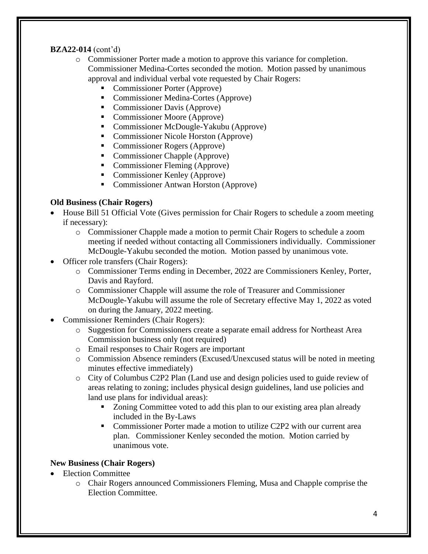## **BZA22-014** (cont'd)

- o Commissioner Porter made a motion to approve this variance for completion. Commissioner Medina-Cortes seconded the motion. Motion passed by unanimous approval and individual verbal vote requested by Chair Rogers:
	- Commissioner Porter (Approve)
	- Commissioner Medina-Cortes (Approve)
	- Commissioner Davis (Approve)
	- Commissioner Moore (Approve)
	- Commissioner McDougle-Yakubu (Approve)
	- Commissioner Nicole Horston (Approve)
	- Commissioner Rogers (Approve)
	- Commissioner Chapple (Approve)
	- Commissioner Fleming (Approve)
	- Commissioner Kenley (Approve)
	- Commissioner Antwan Horston (Approve)

## **Old Business (Chair Rogers)**

- House Bill 51 Official Vote (Gives permission for Chair Rogers to schedule a zoom meeting if necessary):
	- o Commissioner Chapple made a motion to permit Chair Rogers to schedule a zoom meeting if needed without contacting all Commissioners individually. Commissioner McDougle-Yakubu seconded the motion. Motion passed by unanimous vote.
- Officer role transfers (Chair Rogers):
	- o Commissioner Terms ending in December, 2022 are Commissioners Kenley, Porter, Davis and Rayford.
	- o Commissioner Chapple will assume the role of Treasurer and Commissioner McDougle-Yakubu will assume the role of Secretary effective May 1, 2022 as voted on during the January, 2022 meeting.
- Commissioner Reminders (Chair Rogers):
	- o Suggestion for Commissioners create a separate email address for Northeast Area Commission business only (not required)
	- o Email responses to Chair Rogers are important
	- o Commission Absence reminders (Excused/Unexcused status will be noted in meeting minutes effective immediately)
	- o City of Columbus C2P2 Plan (Land use and design policies used to guide review of areas relating to zoning; includes physical design guidelines, land use policies and land use plans for individual areas):
		- Zoning Committee voted to add this plan to our existing area plan already included in the By-Laws
		- Commissioner Porter made a motion to utilize C2P2 with our current area plan. Commissioner Kenley seconded the motion. Motion carried by unanimous vote.

# **New Business (Chair Rogers)**

- Election Committee
	- o Chair Rogers announced Commissioners Fleming, Musa and Chapple comprise the Election Committee.